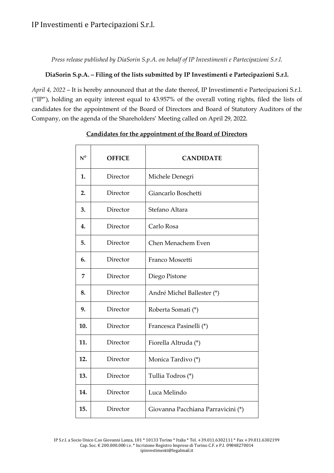## IP Investimenti e Partecipazioni S.r.l.

*Press release published by DiaSorin S.p.A. on behalf of IP Investimenti e Partecipazioni S.r.l.*

#### **DiaSorin S.p.A. – Filing of the lists submitted by IP Investimenti e Partecipazioni S.r.l.**

*April 4, 2022* – It is hereby announced that at the date thereof, IP Investimenti e Partecipazioni S.r.l. ("IP"), holding an equity interest equal to 43.957% of the overall voting rights, filed the lists of candidates for the appointment of the Board of Directors and Board of Statutory Auditors of the Company, on the agenda of the Shareholders' Meeting called on April 29, 2022.

| $N^{\circ}$ | <b>OFFICE</b> | <b>CANDIDATE</b>                   |
|-------------|---------------|------------------------------------|
| 1.          | Director      | Michele Denegri                    |
| 2.          | Director      | Giancarlo Boschetti                |
| 3.          | Director      | Stefano Altara                     |
| 4.          | Director      | Carlo Rosa                         |
| 5.          | Director      | Chen Menachem Even                 |
| 6.          | Director      | Franco Moscetti                    |
| 7           | Director      | Diego Pistone                      |
| 8.          | Director      | André Michel Ballester (*)         |
| 9.          | Director      | Roberta Somati (*)                 |
| 10.         | Director      | Francesca Pasinelli (*)            |
| 11.         | Director      | Fiorella Altruda (*)               |
| 12.         | Director      | Monica Tardivo (*)                 |
| 13.         | Director      | Tullia Todros (*)                  |
| 14.         | Director      | Luca Melindo                       |
| 15.         | Director      | Giovanna Pacchiana Parravicini (*) |

#### **Candidates for the appointment of the Board of Directors**

IP S.r.l. a Socio Unico C.so Giovanni Lanza, 101 \* 10133 Torino \* Italia \* Tel. +39.011.6302111 \* Fax +39.011.6302199 Cap. Soc. € 200.000.000 i.v. \* Iscrizione Registro Imprese di Torino C.F. e P.I. 09848270014 ipinvestimenti@legalmail.it